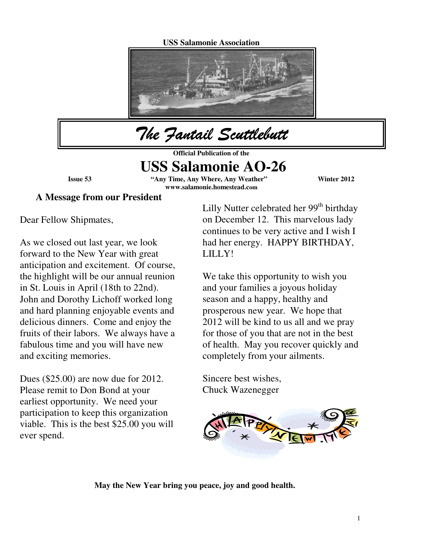## **USS Salamonie Association**



The Fantail Scuttlebutt

**Official Publication of the** 

# **USS Salamonie AO-26**

**Issue 53 "Any Time, Any Where, Any Weather" Winter 2012 www.salamonie.homestead.com**

 $\overline{\phantom{a}}$ 

**A Message from our President** 

Dear Fellow Shipmates,

As we closed out last year, we look forward to the New Year with great anticipation and excitement. Of course, the highlight will be our annual reunion in St. Louis in April (18th to 22nd). John and Dorothy Lichoff worked long and hard planning enjoyable events and delicious dinners. Come and enjoy the fruits of their labors. We always have a fabulous time and you will have new and exciting memories.

Dues (\$25.00) are now due for 2012. Please remit to Don Bond at your earliest opportunity. We need your participation to keep this organization viable. This is the best \$25.00 you will ever spend.

Lilly Nutter celebrated her  $99<sup>th</sup>$  birthday on December 12. This marvelous lady continues to be very active and I wish I had her energy. HAPPY BIRTHDAY, LILLY!

We take this opportunity to wish you and your families a joyous holiday season and a happy, healthy and prosperous new year. We hope that 2012 will be kind to us all and we pray for those of you that are not in the best of health. May you recover quickly and completely from your ailments.

Sincere best wishes, Chuck Wazenegger



 **May the New Year bring you peace, joy and good health.**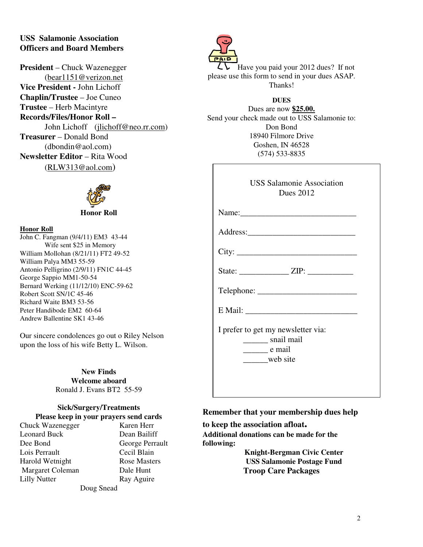## **USS Salamonie Association Officers and Board Members**

**President** – Chuck Wazenegger (bear1151@verizon.net **Vice President -** John Lichoff **Chaplin/Trustee** – Joe Cuneo **Trustee** – Herb Macintyre **Records/Files/Honor Roll –**  John Lichoff (jlichoff@neo.rr.com) **Treasurer** – Donald Bond (dbondin@aol.com) **Newsletter Editor** – Rita Wood (RLW313@aol.com)



#### **Honor Roll**

John C. Fangman (9/4/11) EM3 43-44 Wife sent \$25 in Memory William Mollohan (8/21/11) FT2 49-52 William Palya MM3 55-59 Antonio Pelligrino (2/9/11) FN1C 44-45 George Sappio MM1-50-54 Bernard Werking (11/12/10) ENC-59-62 Robert Scott SN/1C 45-46 Richard Waite BM3 53-56 Peter Handibode EM2 60-64 Andrew Ballentine SK1 43-46

Our sincere condolences go out o Riley Nelson upon the loss of his wife Betty L. Wilson.

> **New Finds Welcome aboard**  Ronald J. Evans BT2 55-59

#### **Sick/Surgery/Treatments Please keep in your prayers send cards**

Chuck Wazenegger Karen Herr Leonard Buck Dean Bailiff Dee Bond<br>
Lois Perrault<br>
Lois Perrault<br>
Cecil Blain Lois Perrault Harold Wetnight Rose Masters Margaret Coleman Dale Hunt Lilly Nutter Ray Aguire

Doug Snead



Have you paid your 2012 dues? If not please use this form to send in your dues ASAP. Thanks!

## **DUES**

Dues are now **\$25.00.** Send your check made out to USS Salamonie to: Don Bond 18940 Filmore Drive Goshen, IN 46528 (574) 533-8835

| <b>USS Salamonie Association</b> |
|----------------------------------|
| Dues 2012                        |

| Name:                                                                           |
|---------------------------------------------------------------------------------|
|                                                                                 |
| City:                                                                           |
|                                                                                 |
| Telephone:                                                                      |
|                                                                                 |
| I prefer to get my newsletter via:<br>snail mail<br>$\rule{1em}{0.15mm}$ e mail |
| web site                                                                        |

## **Remember that your membership dues help**

**to keep the association afloat. Additional donations can be made for the following:** 

> **Knight-Bergman Civic Center USS Salamonie Postage Fund Troop Care Packages**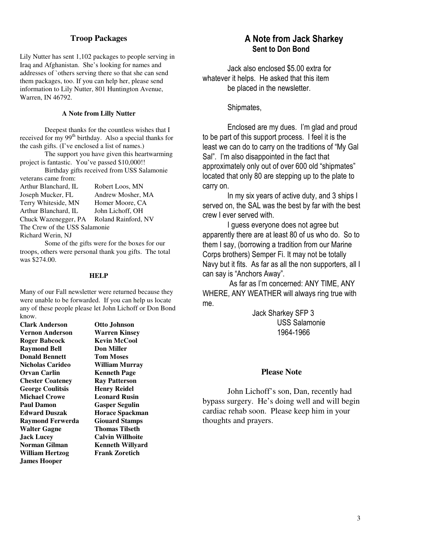#### **Troop Packages**

Lily Nutter has sent 1,102 packages to people serving in Iraq and Afghanistan. She's looking for names and addresses of `others serving there so that she can send them packages, too. If you can help her, please send information to Lily Nutter, 801 Huntington Avenue, Warren, IN 46792.

#### **A Note from Lilly Nutter**

 Deepest thanks for the countless wishes that I received for my 99<sup>th</sup> birthday. Also a special thanks for the cash gifts. (I've enclosed a list of names.)

 The support you have given this heartwarming project is fantastic. You've passed \$10,000!!

 Birthday gifts received from USS Salamonie veterans came from:

| Robert Loos, MN               |
|-------------------------------|
| Andrew Mosher, MA             |
| Homer Moore, CA               |
| John Lichoff, OH              |
| Roland Rainford, NV           |
| The Crew of the USS Salamonie |
|                               |
|                               |

 Some of the gifts were for the boxes for our troops, others were personal thank you gifts. The total was \$274.00.

#### **HELP**

Many of our Fall newsletter were returned because they were unable to be forwarded. If you can help us locate any of these people please let John Lichoff or Don Bond know.

**Clark Anderson Otto Johnson Vernon Anderson Warren Kinsey Roger Babcock Kevin McCool Raymond Bell Don Miller Donald Bennett Tom Moses Nicholas Carideo William Murray Orvan Carlin Kenneth Page Chester Coateney Ray Patterson**  George Coulitsis **Henry Reidel Michael Crowe Leonard Rusin Paul Damon Gasper Segulin Edward Duszak Horace Spackman Raymond Ferwerda Giouard Stamps Walter Gagne Thomas Tilseth Jack Lucey Calvin Willhoite Norman Gilman Kenneth Willyard William Hertzog Frank Zoretich James Hooper** 

## A Note from Jack Sharkey Sent to Don Bond

Jack also enclosed \$5.00 extra for whatever it helps. He asked that this item be placed in the newsletter.

Shipmates,

Enclosed are my dues. I'm glad and proud to be part of this support process. I feel it is the least we can do to carry on the traditions of "My Gal Sal". I'm also disappointed in the fact that approximately only out of over 600 old "shipmates" located that only 80 are stepping up to the plate to carry on.

In my six years of active duty, and 3 ships I served on, the SAL was the best by far with the best crew I ever served with.

I guess everyone does not agree but apparently there are at least 80 of us who do. So to them I say, (borrowing a tradition from our Marine Corps brothers) Semper Fi. It may not be totally Navy but it fits. As far as all the non supporters, all I can say is "Anchors Away".

 As far as I'm concerned: ANY TIME, ANY WHERE, ANY WEATHER will always ring true with me.

> Jack Sharkey SFP 3 USS Salamonie 1964-1966

#### **Please Note**

 John Lichoff's son, Dan, recently had bypass surgery. He's doing well and will begin cardiac rehab soon. Please keep him in your thoughts and prayers.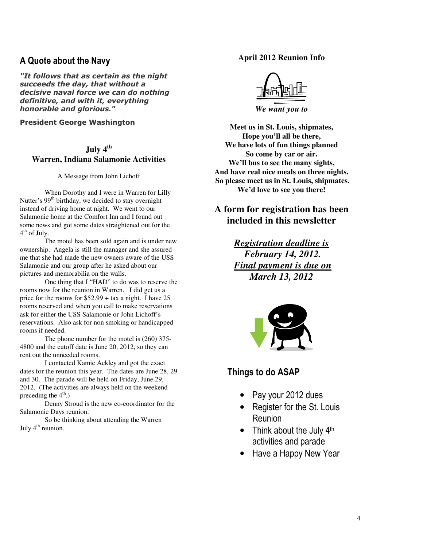## A Quote about the Navy

"It follows that as certain as the night succeeds the day, that without a decisive naval force we can do nothing definitive, and with it, everything honorable and glorious."

President George Washington

# **July 4th Warren, Indiana Salamonie Activities**

#### A Message from John Lichoff

 When Dorothy and I were in Warren for Lilly Nutter's  $99<sup>th</sup>$  birthday, we decided to stay overnight instead of driving home at night. We went to our Salamonie home at the Comfort Inn and I found out some news and got some dates straightened out for the 4<sup>th</sup> of July.

 The motel has been sold again and is under new ownership. Angela is still the manager and she assured me that she had made the new owners aware of the USS Salamonie and our group after he asked about our pictures and memorabilia on the walls.

 One thing that I "HAD" to do was to reserve the rooms now for the reunion in Warren. I did get us a price for the rooms for \$52.99 + tax a night. I have 25 rooms reserved and when you call to make reservations ask for either the USS Salamonie or John Lichoff's reservations. Also ask for non smoking or handicapped rooms if needed.

 The phone number for the motel is (260) 375- 4800 and the cutoff date is June 20, 2012, so they can rent out the unneeded rooms.

 I contacted Kamie Ackley and got the exact dates for the reunion this year. The dates are June 28, 29 and 30. The parade will be held on Friday, June 29, 2012. (The activities are always held on the weekend preceding the  $4<sup>th</sup>$ .)

 Denny Stroud is the new co-coordinator for the Salamonie Days reunion.

 So be thinking about attending the Warren July 4<sup>th</sup> reunion.

## **April 2012 Reunion Info**



*We want you to* 

**Meet us in St. Louis, shipmates, Hope you'll all be there, We have lots of fun things planned So come by car or air. We'll bus to see the many sights, And have real nice meals on three nights. So please meet us in St. Louis, shipmates. We'd love to see you there!** 

# **A form for registration has been included in this newsletter**

*Registration deadline is February 14, 2012. Final payment is due on March 13, 2012* 



## Things to do ASAP

- Pay your 2012 dues
- Register for the St. Louis Reunion
- Think about the July  $4<sup>th</sup>$ activities and parade
- Have a Happy New Year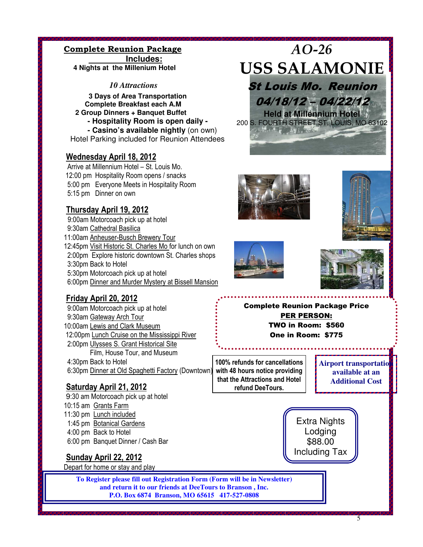#### Complete Reunion Package  **Includes:**

 **4 Nights at the Millenium Hotel** 

 *10 Attractions* 

**3 Days of Area Transportation Complete Breakfast each A.M 2 Group Dinners + Banquet Buffet - Hospitality Room is open daily - - Casino's available nightly** (on own)

Hotel Parking included for Reunion Attendees

# Wednesday April 18, 2012

 Arrive at Millennium Hotel – St. Louis Mo. 12:00 pm Hospitality Room opens / snacks 5:00 pm Everyone Meets in Hospitality Room 5:15 pm Dinner on own

# Thursday April 19, 2012

 9:00am Motorcoach pick up at hotel 9:30am Cathedral Basilica 11:00am Anheuser-Busch Brewery Tour 12:45pm Visit Historic St. Charles Mo for lunch on own 2:00pm Explore historic downtown St. Charles shops 3:30pm Back to Hotel 5:30pm Motorcoach pick up at hotel 6:00pm Dinner and Murder Mystery at Bissell Mansion



AO-26

USS SALAMONIE

St Louis Mo. Reunion

04/18/12 – 04/22/12 **Held at Millennium Hotel**  200 S. FOURTH STREET ST. LOUIS, MO 63102

**E-mail:Curtis@deetourstobranson.com**